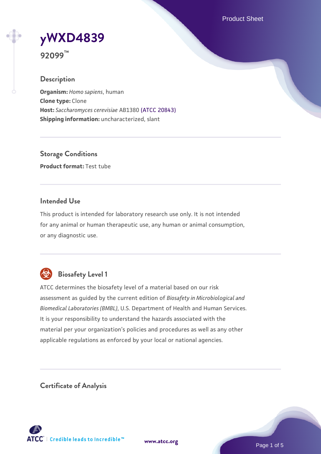Product Sheet

# **[yWXD4839](https://www.atcc.org/products/92099)**

**92099™**

# **Description**

**Organism:** *Homo sapiens*, human **Clone type:** Clone **Host:** *Saccharomyces cerevisiae* AB1380 [\(ATCC 20843\)](https://www.atcc.org/products/20843) **Shipping information:** uncharacterized, slant

**Storage Conditions Product format:** Test tube

# **Intended Use**

This product is intended for laboratory research use only. It is not intended for any animal or human therapeutic use, any human or animal consumption, or any diagnostic use.



# **Biosafety Level 1**

ATCC determines the biosafety level of a material based on our risk assessment as guided by the current edition of *Biosafety in Microbiological and Biomedical Laboratories (BMBL)*, U.S. Department of Health and Human Services. It is your responsibility to understand the hazards associated with the material per your organization's policies and procedures as well as any other applicable regulations as enforced by your local or national agencies.

**Certificate of Analysis**

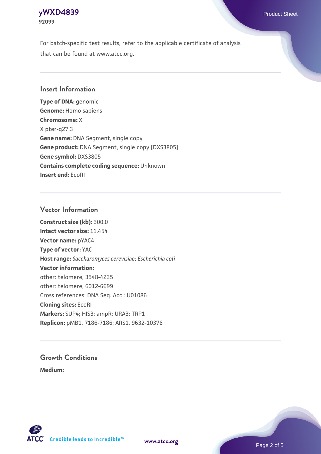### **[yWXD4839](https://www.atcc.org/products/92099)** Product Sheet **92099**

For batch-specific test results, refer to the applicable certificate of analysis that can be found at www.atcc.org.

# **Insert Information**

**Type of DNA:** genomic **Genome:** Homo sapiens **Chromosome:** X X pter-q27.3 **Gene name:** DNA Segment, single copy **Gene product:** DNA Segment, single copy [DXS3805] **Gene symbol:** DXS3805 **Contains complete coding sequence:** Unknown **Insert end:** EcoRI

# **Vector Information**

**Construct size (kb):** 300.0 **Intact vector size:** 11.454 **Vector name:** pYAC4 **Type of vector:** YAC **Host range:** *Saccharomyces cerevisiae*; *Escherichia coli* **Vector information:** other: telomere, 3548-4235 other: telomere, 6012-6699 Cross references: DNA Seq. Acc.: U01086 **Cloning sites:** EcoRI **Markers:** SUP4; HIS3; ampR; URA3; TRP1 **Replicon:** pMB1, 7186-7186; ARS1, 9632-10376

# **Growth Conditions**

**Medium:** 



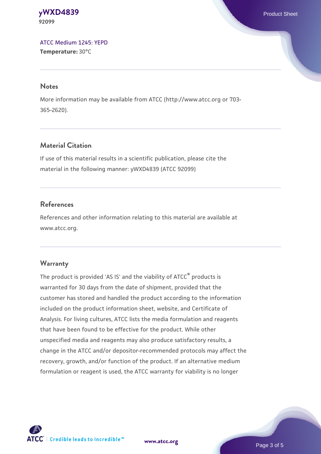#### **[yWXD4839](https://www.atcc.org/products/92099)** Product Sheet **92099**

[ATCC Medium 1245: YEPD](https://www.atcc.org/-/media/product-assets/documents/microbial-media-formulations/1/2/4/5/atcc-medium-1245.pdf?rev=705ca55d1b6f490a808a965d5c072196) **Temperature:** 30°C

#### **Notes**

More information may be available from ATCC (http://www.atcc.org or 703- 365-2620).

# **Material Citation**

If use of this material results in a scientific publication, please cite the material in the following manner: yWXD4839 (ATCC 92099)

# **References**

References and other information relating to this material are available at www.atcc.org.

# **Warranty**

The product is provided 'AS IS' and the viability of ATCC® products is warranted for 30 days from the date of shipment, provided that the customer has stored and handled the product according to the information included on the product information sheet, website, and Certificate of Analysis. For living cultures, ATCC lists the media formulation and reagents that have been found to be effective for the product. While other unspecified media and reagents may also produce satisfactory results, a change in the ATCC and/or depositor-recommended protocols may affect the recovery, growth, and/or function of the product. If an alternative medium formulation or reagent is used, the ATCC warranty for viability is no longer



**[www.atcc.org](http://www.atcc.org)**

Page 3 of 5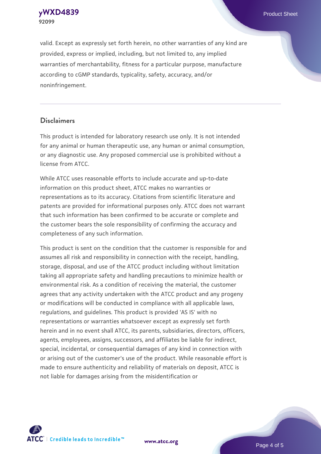**[yWXD4839](https://www.atcc.org/products/92099)** Product Sheet **92099**

valid. Except as expressly set forth herein, no other warranties of any kind are provided, express or implied, including, but not limited to, any implied warranties of merchantability, fitness for a particular purpose, manufacture according to cGMP standards, typicality, safety, accuracy, and/or noninfringement.

#### **Disclaimers**

This product is intended for laboratory research use only. It is not intended for any animal or human therapeutic use, any human or animal consumption, or any diagnostic use. Any proposed commercial use is prohibited without a license from ATCC.

While ATCC uses reasonable efforts to include accurate and up-to-date information on this product sheet, ATCC makes no warranties or representations as to its accuracy. Citations from scientific literature and patents are provided for informational purposes only. ATCC does not warrant that such information has been confirmed to be accurate or complete and the customer bears the sole responsibility of confirming the accuracy and completeness of any such information.

This product is sent on the condition that the customer is responsible for and assumes all risk and responsibility in connection with the receipt, handling, storage, disposal, and use of the ATCC product including without limitation taking all appropriate safety and handling precautions to minimize health or environmental risk. As a condition of receiving the material, the customer agrees that any activity undertaken with the ATCC product and any progeny or modifications will be conducted in compliance with all applicable laws, regulations, and guidelines. This product is provided 'AS IS' with no representations or warranties whatsoever except as expressly set forth herein and in no event shall ATCC, its parents, subsidiaries, directors, officers, agents, employees, assigns, successors, and affiliates be liable for indirect, special, incidental, or consequential damages of any kind in connection with or arising out of the customer's use of the product. While reasonable effort is made to ensure authenticity and reliability of materials on deposit, ATCC is not liable for damages arising from the misidentification or



**[www.atcc.org](http://www.atcc.org)**

Page 4 of 5